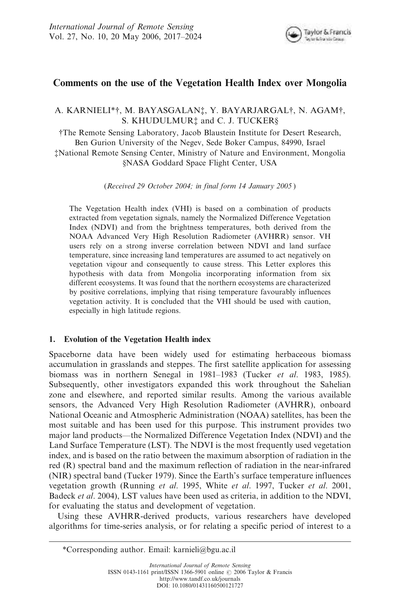

# Comments on the use of the Vegetation Health Index over Mongolia

## A. KARNIELI\*†, M. BAYASGALAN‡, Y. BAYARJARGAL†, N. AGAM†, S. KHUDULMUR<sup> $\dagger$ </sup> and C. J. TUCKER§

{The Remote Sensing Laboratory, Jacob Blaustein Institute for Desert Research, Ben Gurion University of the Negev, Sede Boker Campus, 84990, Israel {National Remote Sensing Center, Ministry of Nature and Environment, Mongolia §NASA Goddard Space Flight Center, USA

(*Received 29 October 2004; in final form 14 January 2005* )

The Vegetation Health index (VHI) is based on a combination of products extracted from vegetation signals, namely the Normalized Difference Vegetation Index (NDVI) and from the brightness temperatures, both derived from the NOAA Advanced Very High Resolution Radiometer (AVHRR) sensor. VH users rely on a strong inverse correlation between NDVI and land surface temperature, since increasing land temperatures are assumed to act negatively on vegetation vigour and consequently to cause stress. This Letter explores this hypothesis with data from Mongolia incorporating information from six different ecosystems. It was found that the northern ecosystems are characterized by positive correlations, implying that rising temperature favourably influences vegetation activity. It is concluded that the VHI should be used with caution, especially in high latitude regions.

### 1. Evolution of the Vegetation Health index

Spaceborne data have been widely used for estimating herbaceous biomass accumulation in grasslands and steppes. The first satellite application for assessing biomass was in northern Senegal in 1981–1983 (Tucker *et al*. 1983, 1985). Subsequently, other investigators expanded this work throughout the Sahelian zone and elsewhere, and reported similar results. Among the various available sensors, the Advanced Very High Resolution Radiometer (AVHRR), onboard National Oceanic and Atmospheric Administration (NOAA) satellites, has been the most suitable and has been used for this purpose. This instrument provides two major land products—the Normalized Difference Vegetation Index (NDVI) and the Land Surface Temperature (LST). The NDVI is the most frequently used vegetation index, and is based on the ratio between the maximum absorption of radiation in the red (R) spectral band and the maximum reflection of radiation in the near-infrared (NIR) spectral band (Tucker 1979). Since the Earth's surface temperature influences vegetation growth (Running *et al*. 1995, White *et al*. 1997, Tucker *et al*. 2001, Badeck *et al*. 2004), LST values have been used as criteria, in addition to the NDVI, for evaluating the status and development of vegetation.

Using these AVHRR-derived products, various researchers have developed algorithms for time-series analysis, or for relating a specific period of interest to a

<sup>\*</sup>Corresponding author. Email: karnieli@bgu.ac.il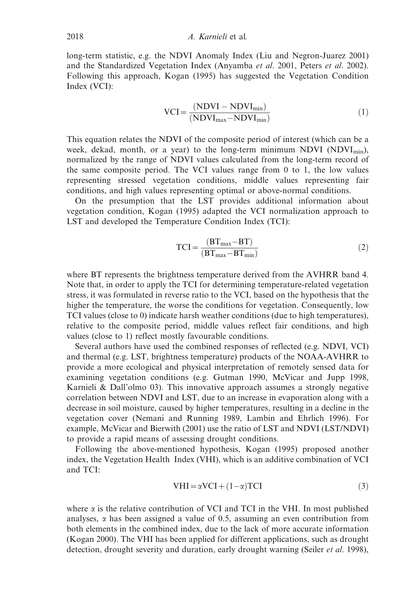long-term statistic, e.g. the NDVI Anomaly Index (Liu and Negron-Juarez 2001) and the Standardized Vegetation Index (Anyamba *et al*. 2001, Peters *et al*. 2002). Following this approach, Kogan (1995) has suggested the Vegetation Condition Index (VCI):

$$
VCI = \frac{(NDVI - NDVI_{min})}{(NDVI_{max} - NDVI_{min})}
$$
(1)

This equation relates the NDVI of the composite period of interest (which can be a week, dekad, month, or a year) to the long-term minimum NDVI (NDVI $_{\text{min}}$ ), normalized by the range of NDVI values calculated from the long-term record of the same composite period. The VCI values range from 0 to 1, the low values representing stressed vegetation conditions, middle values representing fair conditions, and high values representing optimal or above-normal conditions.

On the presumption that the LST provides additional information about vegetation condition, Kogan (1995) adapted the VCI normalization approach to LST and developed the Temperature Condition Index (TCI):

$$
TCI = \frac{(BT_{\text{max}} - BT)}{(BT_{\text{max}} - BT_{\text{min}})}
$$
(2)

where BT represents the brightness temperature derived from the AVHRR band 4. Note that, in order to apply the TCI for determining temperature-related vegetation stress, it was formulated in reverse ratio to the VCI, based on the hypothesis that the higher the temperature, the worse the conditions for vegetation. Consequently, low TCI values (close to 0) indicate harsh weather conditions (due to high temperatures), relative to the composite period, middle values reflect fair conditions, and high values (close to 1) reflect mostly favourable conditions.

Several authors have used the combined responses of reflected (e.g. NDVI, VCI) and thermal (e.g. LST, brightness temperature) products of the NOAA-AVHRR to provide a more ecological and physical interpretation of remotely sensed data for examining vegetation conditions (e.g. Gutman 1990, McVicar and Jupp 1998, Karnieli & Dall'olmo 03). This innovative approach assumes a strongly negative correlation between NDVI and LST, due to an increase in evaporation along with a decrease in soil moisture, caused by higher temperatures, resulting in a decline in the vegetation cover (Nemani and Running 1989, Lambin and Ehrlich 1996). For example, McVicar and Bierwith (2001) use the ratio of LST and NDVI (LST/NDVI) to provide a rapid means of assessing drought conditions.

Following the above-mentioned hypothesis, Kogan (1995) proposed another index, the Vegetation Health Index (VHI), which is an additive combination of VCI and TCI:

$$
VHI = \alpha VCI + (1 - \alpha) TCI
$$
 (3)

where  $\alpha$  is the relative contribution of VCI and TCI in the VHI. In most published analyses,  $\alpha$  has been assigned a value of 0.5, assuming an even contribution from both elements in the combined index, due to the lack of more accurate information (Kogan 2000). The VHI has been applied for different applications, such as drought detection, drought severity and duration, early drought warning (Seiler *et al*. 1998),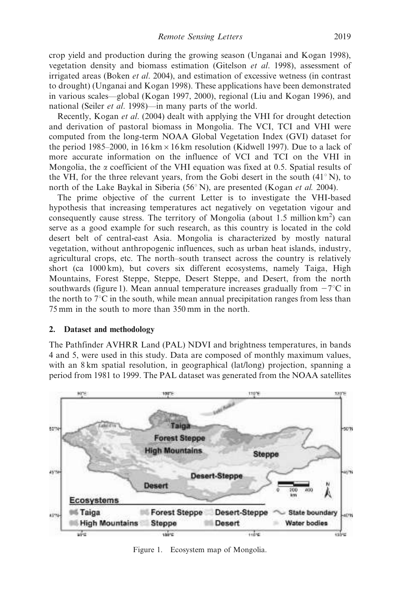crop yield and production during the growing season (Unganai and Kogan 1998), vegetation density and biomass estimation (Gitelson *et al*. 1998), assessment of irrigated areas (Boken *et al*. 2004), and estimation of excessive wetness (in contrast to drought) (Unganai and Kogan 1998). These applications have been demonstrated in various scales—global (Kogan 1997, 2000), regional (Liu and Kogan 1996), and national (Seiler *et al*. 1998)—in many parts of the world.

Recently, Kogan *et al*. (2004) dealt with applying the VHI for drought detection and derivation of pastoral biomass in Mongolia. The VCI, TCI and VHI were computed from the long-term NOAA Global Vegetation Index (GVI) dataset for the period 1985–2000, in  $16 \text{ km} \times 16 \text{ km}$  resolution (Kidwell 1997). Due to a lack of more accurate information on the influence of VCI and TCI on the VHI in Mongolia, the  $\alpha$  coefficient of the VHI equation was fixed at 0.5. Spatial results of the VH, for the three relevant years, from the Gobi desert in the south  $(41^{\circ} N)$ , to north of the Lake Baykal in Siberia  $(56°\text{ N})$ , are presented (Kogan *et al.* 2004).

The prime objective of the current Letter is to investigate the VHI-based hypothesis that increasing temperatures act negatively on vegetation vigour and consequently cause stress. The territory of Mongolia (about  $1.5$  million km<sup>2</sup>) can serve as a good example for such research, as this country is located in the cold desert belt of central-east Asia. Mongolia is characterized by mostly natural vegetation, without anthropogenic influences, such as urban heat islands, industry, agricultural crops, etc. The north–south transect across the country is relatively short (ca 1000 km), but covers six different ecosystems, namely Taiga, High Mountains, Forest Steppe, Steppe, Desert Steppe, and Desert, from the north southwards (figure 1). Mean annual temperature increases gradually from  $-7^{\circ}\text{C}$  in the north to  $7^{\circ}$ C in the south, while mean annual precipitation ranges from less than 75 mm in the south to more than 350 mm in the north.

#### 2. Dataset and methodology

The Pathfinder AVHRR Land (PAL) NDVI and brightness temperatures, in bands 4 and 5, were used in this study. Data are composed of monthly maximum values, with an 8 km spatial resolution, in geographical (lat/long) projection, spanning a period from 1981 to 1999. The PAL dataset was generated from the NOAA satellites



Figure 1. Ecosystem map of Mongolia.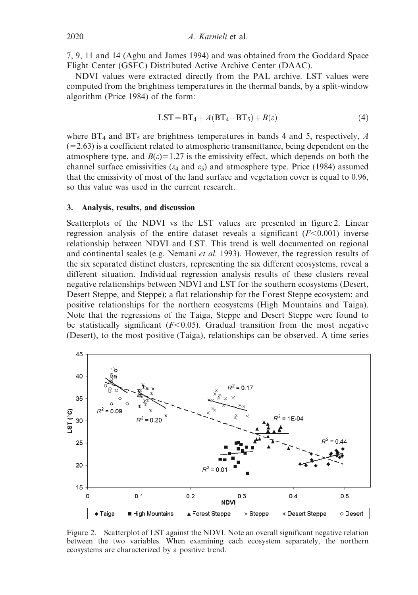7, 9, 11 and 14 (Agbu and James 1994) and was obtained from the Goddard Space Flight Center (GSFC) Distributed Active Archive Center (DAAC).

NDVI values were extracted directly from the PAL archive. LST values were computed from the brightness temperatures in the thermal bands, by a split-window algorithm (Price 1984) of the form:

$$
LST = BT_4 + A(BT_4 - BT_5) + B(\varepsilon)
$$
\n<sup>(4)</sup>

where  $BT_4$  and  $BT_5$  are brightness temperatures in bands 4 and 5, respectively, A  $(=2.63)$  is a coefficient related to atmospheric transmittance, being dependent on the atmosphere type, and  $B(\varepsilon)=1.27$  is the emissivity effect, which depends on both the channel surface emissivities ( $\varepsilon_4$  and  $\varepsilon_5$ ) and atmosphere type. Price (1984) assumed that the emissivity of most of the land surface and vegetation cover is equal to 0.96, so this value was used in the current research.

#### 3. Analysis, results, and discussion

Scatterplots of the NDVI vs the LST values are presented in figure 2. Linear regression analysis of the entire dataset reveals a significant  $(F<0.001)$  inverse relationship between NDVI and LST. This trend is well documented on regional and continental scales (e.g. Nemani *et al*. 1993). However, the regression results of the six separated distinct clusters, representing the six different ecosystems, reveal a different situation. Individual regression analysis results of these clusters reveal negative relationships between NDVI and LST for the southern ecosystems (Desert, Desert Steppe, and Steppe); a flat relationship for the Forest Steppe ecosystem; and positive relationships for the northern ecosystems (High Mountains and Taiga). Note that the regressions of the Taiga, Steppe and Desert Steppe were found to be statistically significant  $(F<0.05)$ . Gradual transition from the most negative (Desert), to the most positive (Taiga), relationships can be observed. A time series



Figure 2. Scatterplot of LST against the NDVI. Note an overall significant negative relation between the two variables. When examining each ecosystem separately, the northern ecosystems are characterized by a positive trend.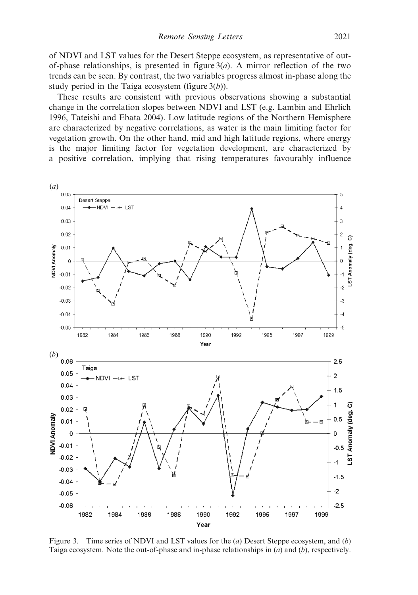of NDVI and LST values for the Desert Steppe ecosystem, as representative of outof-phase relationships, is presented in figure  $3(a)$ . A mirror reflection of the two trends can be seen. By contrast, the two variables progress almost in-phase along the study period in the Taiga ecosystem (figure 3(*b*)).

These results are consistent with previous observations showing a substantial change in the correlation slopes between NDVI and LST (e.g. Lambin and Ehrlich 1996, Tateishi and Ebata 2004). Low latitude regions of the Northern Hemisphere are characterized by negative correlations, as water is the main limiting factor for vegetation growth. On the other hand, mid and high latitude regions, where energy is the major limiting factor for vegetation development, are characterized by a positive correlation, implying that rising temperatures favourably influence



Figure 3. Time series of NDVI and LST values for the (*a*) Desert Steppe ecosystem, and (*b*) Taiga ecosystem. Note the out-of-phase and in-phase relationships in (*a*) and (*b*), respectively.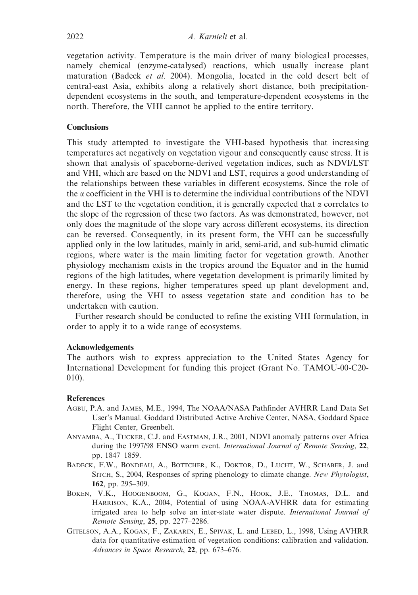vegetation activity. Temperature is the main driver of many biological processes, namely chemical (enzyme-catalysed) reactions, which usually increase plant maturation (Badeck *et al*. 2004). Mongolia, located in the cold desert belt of central-east Asia, exhibits along a relatively short distance, both precipitationdependent ecosystems in the south, and temperature-dependent ecosystems in the north. Therefore, the VHI cannot be applied to the entire territory.

#### **Conclusions**

This study attempted to investigate the VHI-based hypothesis that increasing temperatures act negatively on vegetation vigour and consequently cause stress. It is shown that analysis of spaceborne-derived vegetation indices, such as NDVI/LST and VHI, which are based on the NDVI and LST, requires a good understanding of the relationships between these variables in different ecosystems. Since the role of the  $\alpha$  coefficient in the VHI is to determine the individual contributions of the NDVI and the LST to the vegetation condition, it is generally expected that  $\alpha$  correlates to the slope of the regression of these two factors. As was demonstrated, however, not only does the magnitude of the slope vary across different ecosystems, its direction can be reversed. Consequently, in its present form, the VHI can be successfully applied only in the low latitudes, mainly in arid, semi-arid, and sub-humid climatic regions, where water is the main limiting factor for vegetation growth. Another physiology mechanism exists in the tropics around the Equator and in the humid regions of the high latitudes, where vegetation development is primarily limited by energy. In these regions, higher temperatures speed up plant development and, therefore, using the VHI to assess vegetation state and condition has to be undertaken with caution.

Further research should be conducted to refine the existing VHI formulation, in order to apply it to a wide range of ecosystems.

#### Acknowledgements

The authors wish to express appreciation to the United States Agency for International Development for funding this project (Grant No. TAMOU-00-C20- 010).

#### **References**

- AGBU, P.A. and JAMES, M.E., 1994, The NOAA/NASA Pathfinder AVHRR Land Data Set User's Manual. Goddard Distributed Active Archive Center, NASA, Goddard Space Flight Center, Greenbelt.
- ANYAMBA, A., TUCKER, C.J. and EASTMAN, J.R., 2001, NDVI anomaly patterns over Africa during the 1997/98 ENSO warm event. *International Journal of Remote Sensing*, 22, pp. 1847–1859.
- BADECK, F.W., BONDEAU, A., BOTTCHER, K., DOKTOR, D., LUCHT, W., SCHABER, J. and SITCH, S., 2004, Responses of spring phenology to climate change. *New Phytologist*, 162, pp. 295–309.
- BOKEN, V.K., HOOGENBOOM, G., KOGAN, F.N., HOOK, J.E., THOMAS, D.L. and HARRISON, K.A., 2004, Potential of using NOAA-AVHRR data for estimating irrigated area to help solve an inter-state water dispute. *International Journal of Remote Sensing*, 25, pp. 2277–2286.
- GITELSON, A.A., KOGAN, F., ZAKARIN, E., SPIVAK, L. and LEBED, L., 1998, Using AVHRR data for quantitative estimation of vegetation conditions: calibration and validation. *Advances in Space Research*, 22, pp. 673–676.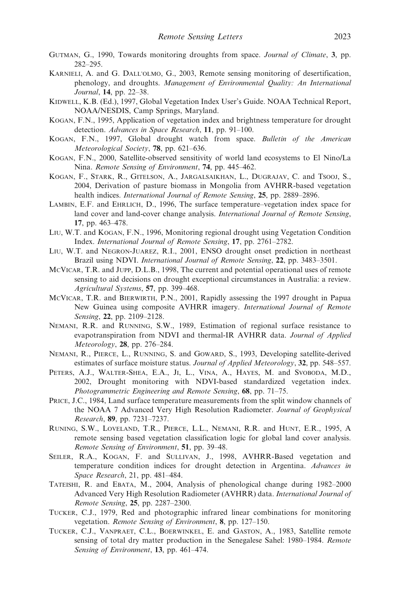- GUTMAN, G., 1990, Towards monitoring droughts from space. *Journal of Climate*, 3, pp. 282–295.
- KARNIELI, A. and G. DALL'OLMO, G., 2003, Remote sensing monitoring of desertification, phenology, and droughts. *Management of Environmental Quality: An International Journal*, 14, pp. 22–38.
- KIDWELL, K.B. (Ed.), 1997, Global Vegetation Index User's Guide. NOAA Technical Report, NOAA/NESDIS, Camp Springs, Maryland.
- KOGAN, F.N., 1995, Application of vegetation index and brightness temperature for drought detection. *Advances in Space Research*, 11, pp. 91–100.
- KOGAN, F.N., 1997, Global drought watch from space. *Bulletin of the American Meteorological Society*, 78, pp. 621–636.
- KOGAN, F.N., 2000, Satellite-observed sensitivity of world land ecosystems to El Nino/La Nina. *Remote Sensing of Environment*, 74, pp. 445–462.
- KOGAN, F., STARK, R., GITELSON, A., JARGALSAIKHAN, L., DUGRAJAV, C. and TSOOJ, S., 2004, Derivation of pasture biomass in Mongolia from AVHRR-based vegetation health indices. *International Journal of Remote Sensing*, 25, pp. 2889–2896.
- LAMBIN, E.F. and EHRLICH, D., 1996, The surface temperature–vegetation index space for land cover and land-cover change analysis. *International Journal of Remote Sensing*, 17, pp. 463–478.
- LIU, W.T. and KOGAN, F.N., 1996, Monitoring regional drought using Vegetation Condition Index. *International Journal of Remote Sensing*, 17, pp. 2761–2782.
- LIU, W.T. and NEGRON-JUAREZ, R.I., 2001, ENSO drought onset prediction in northeast Brazil using NDVI. *International Journal of Remote Sensing*, 22, pp. 3483–3501.
- MCVICAR, T.R. and JUPP, D.L.B., 1998, The current and potential operational uses of remote sensing to aid decisions on drought exceptional circumstances in Australia: a review. *Agricultural Systems*, 57, pp. 399–468.
- MCVICAR, T.R. and BIERWIRTH, P.N., 2001, Rapidly assessing the 1997 drought in Papua New Guinea using composite AVHRR imagery. *International Journal of Remote Sensing*, 22, pp. 2109–2128.
- NEMANI, R.R. and RUNNING, S.W., 1989, Estimation of regional surface resistance to evapotranspiration from NDVI and thermal-IR AVHRR data. *Journal of Applied Meteorology*, 28, pp. 276–284.
- NEMANI, R., PIERCE, L., RUNNING, S. and GOWARD, S., 1993, Developing satellite-derived estimates of surface moisture status. *Journal of Applied Meteorology*, 32, pp. 548–557.
- PETERS, A.J., WALTER-SHEA, E.A., JI, L., VINA, A., HAYES, M. and SVOBODA, M.D., 2002, Drought monitoring with NDVI-based standardized vegetation index. *Photogrammetric Engineering and Remote Sensing*, 68, pp. 71–75.
- PRICE, J.C., 1984, Land surface temperature measurements from the split window channels of the NOAA 7 Advanced Very High Resolution Radiometer. *Journal of Geophysical Research*, 89, pp. 7231–7237.
- RUNING, S.W., LOVELAND, T.R., PIERCE, L.L., NEMANI, R.R. and HUNT, E.R., 1995, A remote sensing based vegetation classification logic for global land cover analysis. *Remote Sensing of Environment*, 51, pp. 39–48.
- SEILER, R.A., KOGAN, F. and SULLIVAN, J., 1998, AVHRR-Based vegetation and temperature condition indices for drought detection in Argentina. *Advances in Space Research*, 21, pp. 481–484.
- TATEISHI, R. and EBATA, M., 2004, Analysis of phenological change during 1982–2000 Advanced Very High Resolution Radiometer (AVHRR) data. *International Journal of Remote Sensing*, 25, pp. 2287–2300.
- TUCKER, C.J., 1979, Red and photographic infrared linear combinations for monitoring vegetation. *Remote Sensing of Environment*, 8, pp. 127–150.
- TUCKER, C.J., VANPRAET, C.L., BOERWINKEL, E. and GASTON, A., 1983, Satellite remote sensing of total dry matter production in the Senegalese Sahel: 1980–1984. *Remote Sensing of Environment*, 13, pp. 461–474.